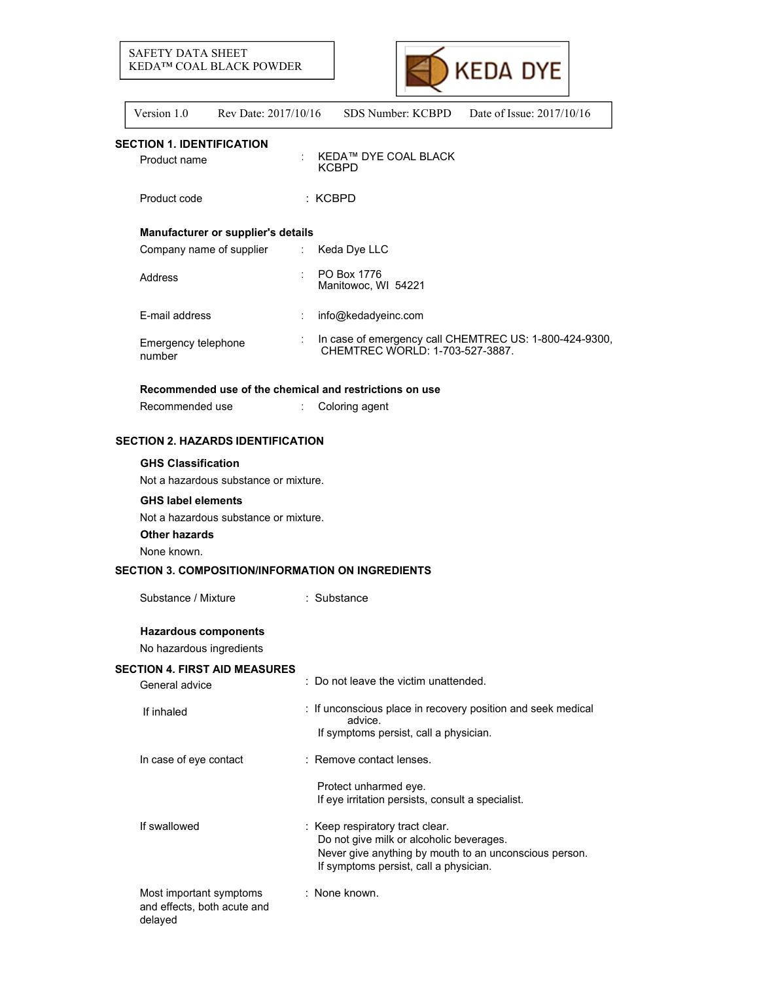



| Version 1.0 | Rev Date: 2017/10/16 | SDS Number: KCBPD | Date of Issue: $2017/10/16$ |
|-------------|----------------------|-------------------|-----------------------------|
|             |                      |                   |                             |

# **SECTION 1. IDENTIFICATION**

Product name : KEDA™ DYE COAL BLACK KCBPD

Product code : KCBPD :

## **Manufacturer or supplier's details**

| Company name of supplier      | ÷. | Keda Dye LLC                                                                              |
|-------------------------------|----|-------------------------------------------------------------------------------------------|
| Address                       |    | PO Box 1776<br>Manitowoc, WI 54221                                                        |
| E-mail address                |    | info@kedadyeinc.com                                                                       |
| Emergency telephone<br>number |    | In case of emergency call CHEMTREC US: 1-800-424-9300,<br>CHEMTREC WORLD: 1-703-527-3887. |

# **Recommended use of the chemical and restrictions on use**

# **SECTION 2. HAZARDS IDENTIFICATION**

## **GHS Classification**

Not a hazardous substance or mixture.

### **GHS label elements**

Not a hazardous substance or mixture.

# **Other hazards**

None known.

### **SECTION 3. COMPOSITION/INFORMATION ON INGREDIENTS**

Substance / Mixture : Substance

# **Hazardous components**

No hazardous ingredients

### **SECTION 4. FIRST AID MEASURES**

| General advice                                                    | : Do not leave the victim unattended.                                                                                                                                           |
|-------------------------------------------------------------------|---------------------------------------------------------------------------------------------------------------------------------------------------------------------------------|
| If inhaled                                                        | : If unconscious place in recovery position and seek medical<br>advice.<br>If symptoms persist, call a physician.                                                               |
| In case of eye contact                                            | : Remove contact lenses.                                                                                                                                                        |
|                                                                   | Protect unharmed eye.<br>If eye irritation persists, consult a specialist.                                                                                                      |
| If swallowed                                                      | : Keep respiratory tract clear.<br>Do not give milk or alcoholic beverages.<br>Never give anything by mouth to an unconscious person.<br>If symptoms persist, call a physician. |
| Most important symptoms<br>and effects, both acute and<br>delayed | : None known.                                                                                                                                                                   |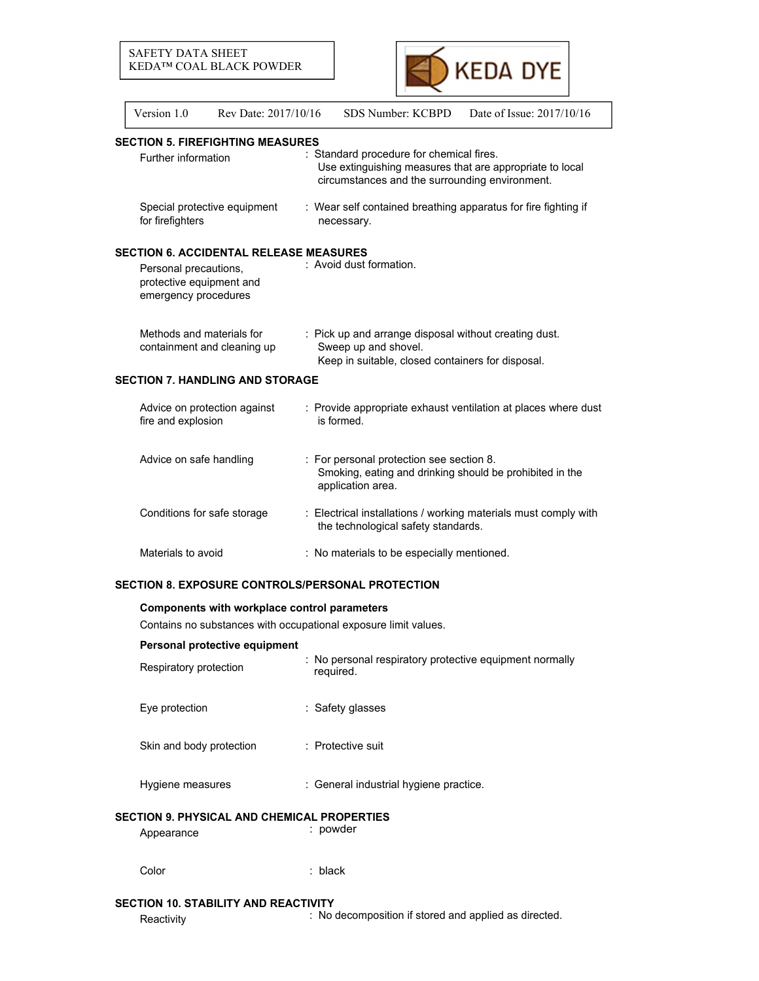

| Version 1.0                                                               | Rev Date: 2017/10/16                          |  | SDS Number: KCBPD<br>Date of Issue: 2017/10/16                                                                                                         |  |  |  |  |
|---------------------------------------------------------------------------|-----------------------------------------------|--|--------------------------------------------------------------------------------------------------------------------------------------------------------|--|--|--|--|
|                                                                           | <b>SECTION 5. FIREFIGHTING MEASURES</b>       |  |                                                                                                                                                        |  |  |  |  |
| Further information                                                       |                                               |  | : Standard procedure for chemical fires.<br>Use extinguishing measures that are appropriate to local<br>circumstances and the surrounding environment. |  |  |  |  |
| for firefighters                                                          | Special protective equipment                  |  | : Wear self contained breathing apparatus for fire fighting if<br>necessary.                                                                           |  |  |  |  |
|                                                                           | <b>SECTION 6. ACCIDENTAL RELEASE MEASURES</b> |  |                                                                                                                                                        |  |  |  |  |
| Personal precautions,<br>protective equipment and<br>emergency procedures |                                               |  | : Avoid dust formation.                                                                                                                                |  |  |  |  |
| Methods and materials for                                                 | containment and cleaning up                   |  | : Pick up and arrange disposal without creating dust.<br>Sweep up and shovel.<br>Keep in suitable, closed containers for disposal.                     |  |  |  |  |
| <b>SECTION 7. HANDLING AND STORAGE</b>                                    |                                               |  |                                                                                                                                                        |  |  |  |  |
| fire and explosion                                                        | Advice on protection against                  |  | : Provide appropriate exhaust ventilation at places where dust<br>is formed.                                                                           |  |  |  |  |
| Advice on safe handling                                                   |                                               |  | : For personal protection see section 8.<br>Smoking, eating and drinking should be prohibited in the<br>application area.                              |  |  |  |  |
| Conditions for safe storage                                               |                                               |  | : Electrical installations / working materials must comply with<br>the technological safety standards.                                                 |  |  |  |  |
| Materials to avoid                                                        |                                               |  | : No materials to be especially mentioned.                                                                                                             |  |  |  |  |
|                                                                           |                                               |  | <b>SECTION 8. EXPOSURE CONTROLS/PERSONAL PROTECTION</b>                                                                                                |  |  |  |  |
| Components with workplace control parameters                              |                                               |  |                                                                                                                                                        |  |  |  |  |
| Contains no substances with occupational exposure limit values.           |                                               |  |                                                                                                                                                        |  |  |  |  |

# **Personal protective equipment**

| Respiratory protection                                    | : No personal respiratory protective equipment normally<br>required. |
|-----------------------------------------------------------|----------------------------------------------------------------------|
| Eye protection                                            | : Safety glasses                                                     |
| Skin and body protection                                  | : Protective suit                                                    |
| Hygiene measures                                          | : General industrial hygiene practice.                               |
| SECTION 9. PHYSICAL AND CHEMICAL PROPERTIES<br>Appearance | : powder                                                             |

Color : black

# **SECTION 10. STABILITY AND REACTIVITY**

Reactivity **Reactivity** : No decomposition if stored and applied as directed.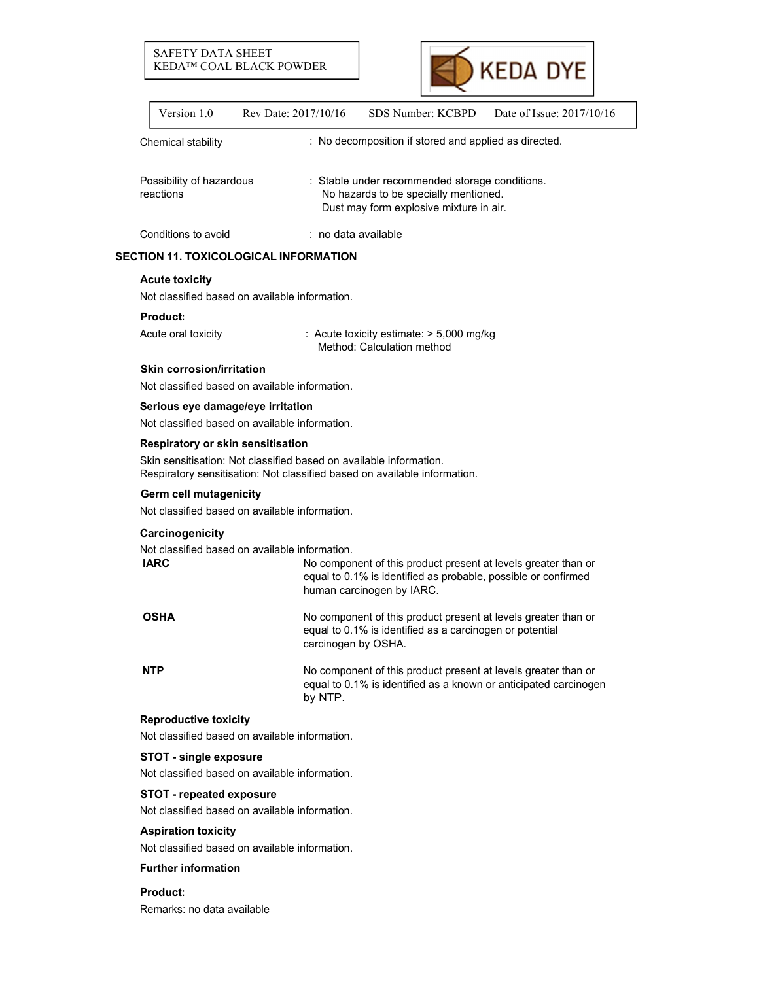# SAFETY DATA SHEET KEDA™ COAL BLACK POWDER



| Version 1.0                           | Rev Date: 2017/10/16                                                                                                                            | SDS Number: KCBPD                                                                                                                                             | Date of Issue: 2017/10/16 |
|---------------------------------------|-------------------------------------------------------------------------------------------------------------------------------------------------|---------------------------------------------------------------------------------------------------------------------------------------------------------------|---------------------------|
| Chemical stability                    |                                                                                                                                                 | : No decomposition if stored and applied as directed.                                                                                                         |                           |
| Possibility of hazardous<br>reactions |                                                                                                                                                 | : Stable under recommended storage conditions.<br>No hazards to be specially mentioned.<br>Dust may form explosive mixture in air.                            |                           |
| Conditions to avoid                   |                                                                                                                                                 | $:$ no data available                                                                                                                                         |                           |
|                                       | SECTION 11. TOXICOLOGICAL INFORMATION                                                                                                           |                                                                                                                                                               |                           |
| <b>Acute toxicity</b>                 |                                                                                                                                                 |                                                                                                                                                               |                           |
|                                       | Not classified based on available information.                                                                                                  |                                                                                                                                                               |                           |
| <b>Product:</b>                       |                                                                                                                                                 |                                                                                                                                                               |                           |
| Acute oral toxicity                   |                                                                                                                                                 | : Acute toxicity estimate: > 5,000 mg/kg<br>Method: Calculation method                                                                                        |                           |
| <b>Skin corrosion/irritation</b>      | Not classified based on available information.                                                                                                  |                                                                                                                                                               |                           |
|                                       | Serious eye damage/eye irritation<br>Not classified based on available information.                                                             |                                                                                                                                                               |                           |
|                                       | Respiratory or skin sensitisation                                                                                                               |                                                                                                                                                               |                           |
|                                       | Skin sensitisation: Not classified based on available information.<br>Respiratory sensitisation: Not classified based on available information. |                                                                                                                                                               |                           |
| Germ cell mutagenicity                | Not classified based on available information.                                                                                                  |                                                                                                                                                               |                           |
| Carcinogenicity                       |                                                                                                                                                 |                                                                                                                                                               |                           |
|                                       | Not classified based on available information.                                                                                                  |                                                                                                                                                               |                           |
| <b>IARC</b>                           |                                                                                                                                                 | No component of this product present at levels greater than or<br>equal to 0.1% is identified as probable, possible or confirmed<br>human carcinogen by IARC. |                           |
| OSHA                                  | carcinogen by OSHA.                                                                                                                             | No component of this product present at levels greater than or<br>equal to 0.1% is identified as a carcinogen or potential                                    |                           |
| NTP                                   | by NTP.                                                                                                                                         | No component of this product present at levels greater than or<br>equal to 0.1% is identified as a known or anticipated carcinogen                            |                           |
| <b>Reproductive toxicity</b>          |                                                                                                                                                 |                                                                                                                                                               |                           |
|                                       | Not classified based on available information.                                                                                                  |                                                                                                                                                               |                           |
| <b>STOT - single exposure</b>         | Not classified based on available information.                                                                                                  |                                                                                                                                                               |                           |
| <b>STOT - repeated exposure</b>       |                                                                                                                                                 |                                                                                                                                                               |                           |
|                                       | Not classified based on available information.                                                                                                  |                                                                                                                                                               |                           |
| <b>Aspiration toxicity</b>            |                                                                                                                                                 |                                                                                                                                                               |                           |
|                                       | Not classified based on available information.                                                                                                  |                                                                                                                                                               |                           |
|                                       |                                                                                                                                                 |                                                                                                                                                               |                           |

# **Further information**

**Product:** Remarks: no data available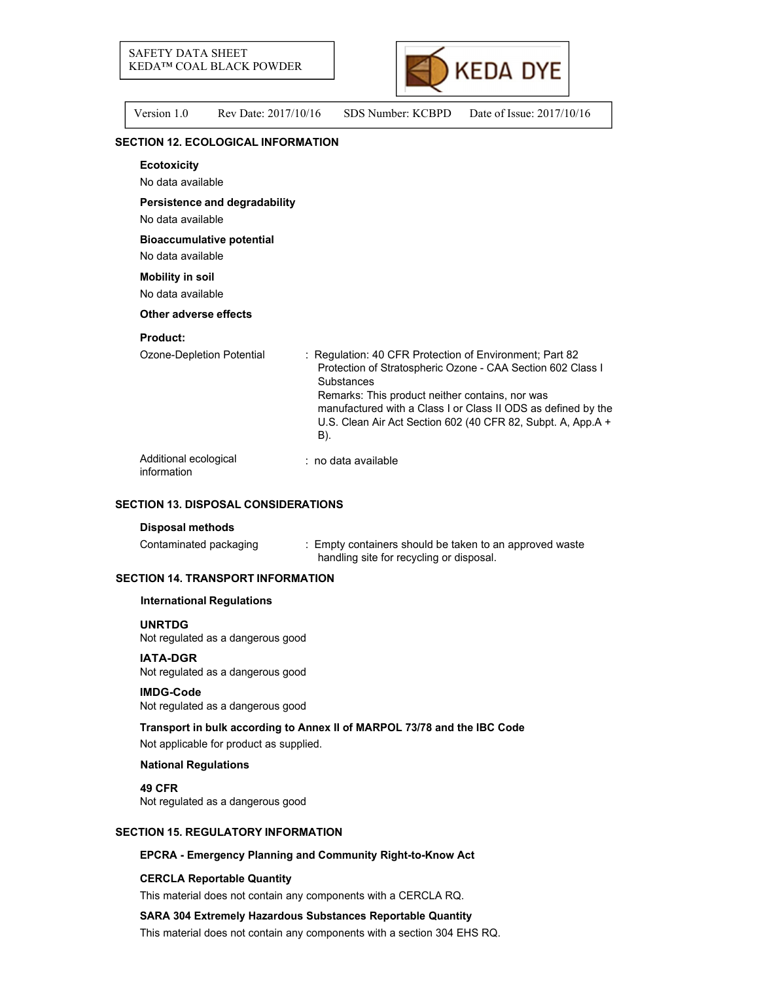

Version 1.0 Rev Date: 2017/10/16 SDS Number: KCBPD Date of Issue: 2017/10/16

# **SECTION 12. ECOLOGICAL INFORMATION**

| <b>Ecotoxicity</b>                                    |                                                                                                                                                                                                                                                                                                                                 |
|-------------------------------------------------------|---------------------------------------------------------------------------------------------------------------------------------------------------------------------------------------------------------------------------------------------------------------------------------------------------------------------------------|
| No data available                                     |                                                                                                                                                                                                                                                                                                                                 |
| Persistence and degradability<br>No data available    |                                                                                                                                                                                                                                                                                                                                 |
| <b>Bioaccumulative potential</b><br>No data available |                                                                                                                                                                                                                                                                                                                                 |
| <b>Mobility in soil</b><br>No data available          |                                                                                                                                                                                                                                                                                                                                 |
| Other adverse effects                                 |                                                                                                                                                                                                                                                                                                                                 |
| <b>Product:</b>                                       |                                                                                                                                                                                                                                                                                                                                 |
| Ozone-Depletion Potential                             | : Regulation: 40 CFR Protection of Environment; Part 82<br>Protection of Stratospheric Ozone - CAA Section 602 Class I<br>Substances<br>Remarks: This product neither contains, nor was<br>manufactured with a Class I or Class II ODS as defined by the<br>U.S. Clean Air Act Section 602 (40 CFR 82, Subpt. A, App.A +<br>B). |
| Additional ecological<br>information                  | $:$ no data available                                                                                                                                                                                                                                                                                                           |

### **SECTION 13. DISPOSAL CONSIDERATIONS**

#### **Disposal methods**

Contaminated packaging : Empty containers should be taken to an approved waste handling site for recycling or disposal.

## **SECTION 14. TRANSPORT INFORMATION**

#### **International Regulations**

#### **UNRTDG**

Not regulated as a dangerous good

### **IATA-DGR**

Not regulated as a dangerous good

#### **IMDG-Code**

Not regulated as a dangerous good

### **Transport in bulk according to Annex II of MARPOL 73/78 and the IBC Code**

Not applicable for product as supplied.

#### **National Regulations**

**49 CFR** Not regulated as a dangerous good

## **SECTION 15. REGULATORY INFORMATION**

### **EPCRA - Emergency Planning and Community Right-to-Know Act**

#### **CERCLA Reportable Quantity**

This material does not contain any components with a CERCLA RQ.

#### **SARA 304 Extremely Hazardous Substances Reportable Quantity**

This material does not contain any components with a section 304 EHS RQ.